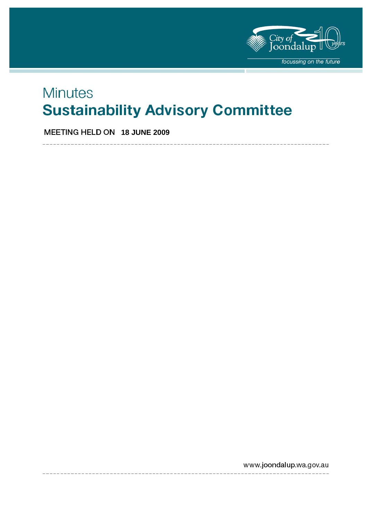

# **Minutes Sustainability Advisory Committee**

**MEETING HELD ON 18 JUNE 2009** 

www.joondalup.wa.gov.au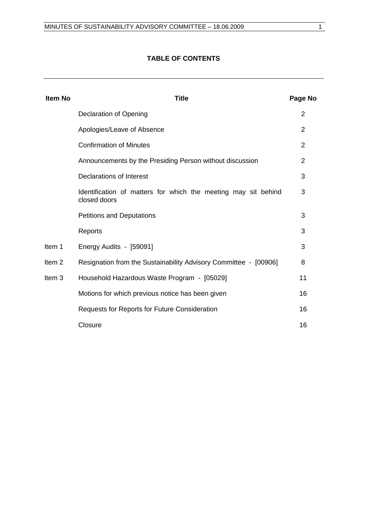# **TABLE OF CONTENTS**

| <b>Item No</b>    | <b>Title</b>                                                                   | Page No        |
|-------------------|--------------------------------------------------------------------------------|----------------|
|                   | <b>Declaration of Opening</b>                                                  | $\overline{2}$ |
|                   | Apologies/Leave of Absence                                                     | $\overline{2}$ |
|                   | <b>Confirmation of Minutes</b>                                                 | $\overline{2}$ |
|                   | Announcements by the Presiding Person without discussion                       | $\overline{2}$ |
|                   | <b>Declarations of Interest</b>                                                | 3              |
|                   | Identification of matters for which the meeting may sit behind<br>closed doors | 3              |
|                   | <b>Petitions and Deputations</b>                                               | 3              |
|                   | Reports                                                                        | 3              |
| Item 1            | Energy Audits - [59091]                                                        | 3              |
| Item <sub>2</sub> | Resignation from the Sustainability Advisory Committee - [00906]               | 8              |
| Item <sub>3</sub> | Household Hazardous Waste Program - [05029]                                    | 11             |
|                   | Motions for which previous notice has been given                               | 16             |
|                   | Requests for Reports for Future Consideration                                  | 16             |
|                   | Closure                                                                        | 16             |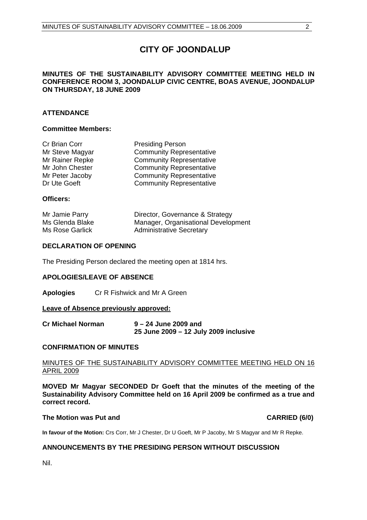# **CITY OF JOONDALUP**

### **MINUTES OF THE SUSTAINABILITY ADVISORY COMMITTEE MEETING HELD IN CONFERENCE ROOM 3, JOONDALUP CIVIC CENTRE, BOAS AVENUE, JOONDALUP ON THURSDAY, 18 JUNE 2009**

### **ATTENDANCE**

#### **Committee Members:**

| Cr Brian Corr   | <b>Presiding Person</b>         |
|-----------------|---------------------------------|
| Mr Steve Magyar | <b>Community Representative</b> |
| Mr Rainer Repke | <b>Community Representative</b> |
| Mr John Chester | <b>Community Representative</b> |
| Mr Peter Jacoby | <b>Community Representative</b> |
| Dr Ute Goeft    | <b>Community Representative</b> |

#### **Officers:**

| Mr Jamie Parry  | Director, Governance & Strategy     |
|-----------------|-------------------------------------|
| Ms Glenda Blake | Manager, Organisational Development |
| Ms Rose Garlick | <b>Administrative Secretary</b>     |

#### **DECLARATION OF OPENING**

The Presiding Person declared the meeting open at 1814 hrs.

#### **APOLOGIES/LEAVE OF ABSENCE**

**Apologies** Cr R Fishwick and Mr A Green

#### **Leave of Absence previously approved:**

| <b>Cr Michael Norman</b> | 9 – 24 June 2009 and                  |
|--------------------------|---------------------------------------|
|                          | 25 June 2009 - 12 July 2009 inclusive |

#### **CONFIRMATION OF MINUTES**

#### MINUTES OF THE SUSTAINABILITY ADVISORY COMMITTEE MEETING HELD ON 16 APRIL 2009

**MOVED Mr Magyar SECONDED Dr Goeft that the minutes of the meeting of the Sustainability Advisory Committee held on 16 April 2009 be confirmed as a true and correct record.** 

#### **The Motion was Put and CARRIED (6/0) CARRIED (6/0)**

**In favour of the Motion:** Crs Corr, Mr J Chester, Dr U Goeft, Mr P Jacoby, Mr S Magyar and Mr R Repke.

#### **ANNOUNCEMENTS BY THE PRESIDING PERSON WITHOUT DISCUSSION**

Nil.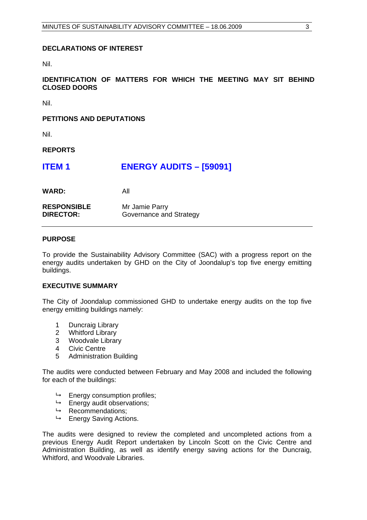#### **DECLARATIONS OF INTEREST**

Nil.

### **IDENTIFICATION OF MATTERS FOR WHICH THE MEETING MAY SIT BEHIND CLOSED DOORS**

Nil.

#### **PETITIONS AND DEPUTATIONS**

Nil.

**REPORTS** 

| <b>ITEM1</b> | <b>ENERGY AUDITS - [59091]</b> |  |
|--------------|--------------------------------|--|
|--------------|--------------------------------|--|

**WARD:** All

| <b>RESPONSIBLE</b> | Mr Jamie Parry          |
|--------------------|-------------------------|
| <b>DIRECTOR:</b>   | Governance and Strategy |

#### **PURPOSE**

To provide the Sustainability Advisory Committee (SAC) with a progress report on the energy audits undertaken by GHD on the City of Joondalup's top five energy emitting buildings.

#### **EXECUTIVE SUMMARY**

The City of Joondalup commissioned GHD to undertake energy audits on the top five energy emitting buildings namely:

- 1 Duncraig Library
- 2 Whitford Library
- 3 Woodvale Library
- 4 Civic Centre
- 5 Administration Building

The audits were conducted between February and May 2008 and included the following for each of the buildings:

- $ightharpoonup$  Energy consumption profiles;
- $\mapsto$  Energy audit observations;
- $\rightarrow$  Recommendations;
- $ightharpoonup$  Energy Saving Actions.

The audits were designed to review the completed and uncompleted actions from a previous Energy Audit Report undertaken by Lincoln Scott on the Civic Centre and Administration Building, as well as identify energy saving actions for the Duncraig, Whitford, and Woodvale Libraries.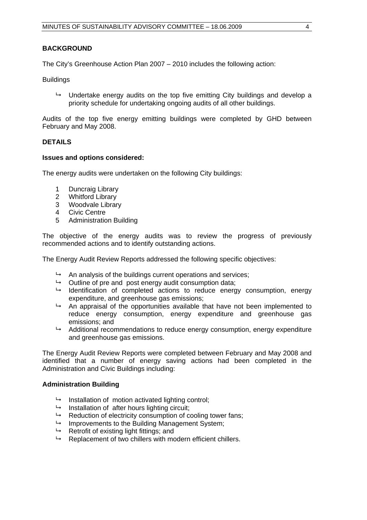#### **BACKGROUND**

The City's Greenhouse Action Plan 2007 – 2010 includes the following action:

**Buildings** 

 $\rightarrow$  Undertake energy audits on the top five emitting City buildings and develop a priority schedule for undertaking ongoing audits of all other buildings.

Audits of the top five energy emitting buildings were completed by GHD between February and May 2008.

#### **DETAILS**

#### **Issues and options considered:**

The energy audits were undertaken on the following City buildings:

- 1 Duncraig Library
- 2 Whitford Library
- 3 Woodvale Library
- 4 Civic Centre
- 5 Administration Building

The objective of the energy audits was to review the progress of previously recommended actions and to identify outstanding actions.

The Energy Audit Review Reports addressed the following specific objectives:

- $\rightarrow$  An analysis of the buildings current operations and services;
- $\rightarrow$  Outline of pre and post energy audit consumption data;
- $\rightarrow$  Identification of completed actions to reduce energy consumption, energy expenditure, and greenhouse gas emissions;
- $\rightarrow$  An appraisal of the opportunities available that have not been implemented to reduce energy consumption, energy expenditure and greenhouse gas emissions; and
- $\rightarrow$  Additional recommendations to reduce energy consumption, energy expenditure and greenhouse gas emissions.

The Energy Audit Review Reports were completed between February and May 2008 and identified that a number of energy saving actions had been completed in the Administration and Civic Buildings including:

#### **Administration Building**

- $\rightarrow$  Installation of motion activated lighting control;
- $\rightarrow$  Installation of after hours lighting circuit;
- $\rightarrow$  Reduction of electricity consumption of cooling tower fans;
- $\mapsto$  Improvements to the Building Management System;
- $\rightarrow$  Retrofit of existing light fittings; and
- $\rightarrow$  Replacement of two chillers with modern efficient chillers.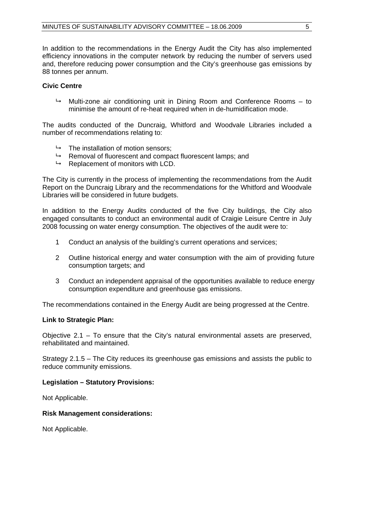In addition to the recommendations in the Energy Audit the City has also implemented efficiency innovations in the computer network by reducing the number of servers used and, therefore reducing power consumption and the City's greenhouse gas emissions by 88 tonnes per annum.

### **Civic Centre**

 $\rightarrow$  Multi-zone air conditioning unit in Dining Room and Conference Rooms – to minimise the amount of re-heat required when in de-humidification mode.

The audits conducted of the Duncraig, Whitford and Woodvale Libraries included a number of recommendations relating to:

- $\rightarrow$  The installation of motion sensors:
- $\rightarrow$  Removal of fluorescent and compact fluorescent lamps; and
- $\rightarrow$  Replacement of monitors with LCD.

The City is currently in the process of implementing the recommendations from the Audit Report on the Duncraig Library and the recommendations for the Whitford and Woodvale Libraries will be considered in future budgets.

In addition to the Energy Audits conducted of the five City buildings, the City also engaged consultants to conduct an environmental audit of Craigie Leisure Centre in July 2008 focussing on water energy consumption. The objectives of the audit were to:

- 1 Conduct an analysis of the building's current operations and services;
- 2 Outline historical energy and water consumption with the aim of providing future consumption targets; and
- 3 Conduct an independent appraisal of the opportunities available to reduce energy consumption expenditure and greenhouse gas emissions.

The recommendations contained in the Energy Audit are being progressed at the Centre.

#### **Link to Strategic Plan:**

Objective 2.1 – To ensure that the City's natural environmental assets are preserved, rehabilitated and maintained.

Strategy 2.1.5 – The City reduces its greenhouse gas emissions and assists the public to reduce community emissions.

#### **Legislation – Statutory Provisions:**

Not Applicable.

#### **Risk Management considerations:**

Not Applicable.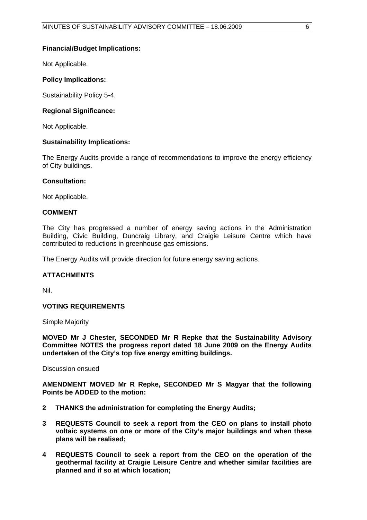#### **Financial/Budget Implications:**

Not Applicable.

#### **Policy Implications:**

Sustainability Policy 5-4.

#### **Regional Significance:**

Not Applicable.

#### **Sustainability Implications:**

The Energy Audits provide a range of recommendations to improve the energy efficiency of City buildings.

#### **Consultation:**

Not Applicable.

#### **COMMENT**

The City has progressed a number of energy saving actions in the Administration Building, Civic Building, Duncraig Library, and Craigie Leisure Centre which have contributed to reductions in greenhouse gas emissions.

The Energy Audits will provide direction for future energy saving actions.

### **ATTACHMENTS**

Nil.

### **VOTING REQUIREMENTS**

Simple Majority

**MOVED Mr J Chester, SECONDED Mr R Repke that the Sustainability Advisory Committee NOTES the progress report dated 18 June 2009 on the Energy Audits undertaken of the City's top five energy emitting buildings.** 

Discussion ensued

**AMENDMENT MOVED Mr R Repke, SECONDED Mr S Magyar that the following Points be ADDED to the motion:** 

- **2 THANKS the administration for completing the Energy Audits;**
- **3 REQUESTS Council to seek a report from the CEO on plans to install photo voltaic systems on one or more of the City's major buildings and when these plans will be realised;**
- **4 REQUESTS Council to seek a report from the CEO on the operation of the geothermal facility at Craigie Leisure Centre and whether similar facilities are planned and if so at which location;**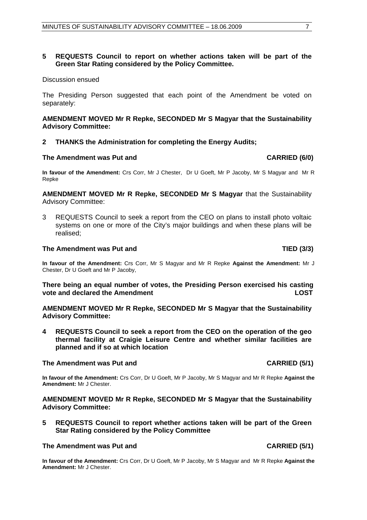#### **5 REQUESTS Council to report on whether actions taken will be part of the Green Star Rating considered by the Policy Committee.**

#### Discussion ensued

The Presiding Person suggested that each point of the Amendment be voted on separately:

#### **AMENDMENT MOVED Mr R Repke, SECONDED Mr S Magyar that the Sustainability Advisory Committee:**

#### **2 THANKS the Administration for completing the Energy Audits;**

#### The Amendment was Put and **CARRIED (6/0) CARRIED** (6/0)

**In favour of the Amendment:** Crs Corr, Mr J Chester, Dr U Goeft, Mr P Jacoby, Mr S Magyar and Mr R Repke

**AMENDMENT MOVED Mr R Repke, SECONDED Mr S Magyar** that the Sustainability Advisory Committee:

3 REQUESTS Council to seek a report from the CEO on plans to install photo voltaic systems on one or more of the City's major buildings and when these plans will be realised;

#### The Amendment was Put and TIED (3/3)

**In favour of the Amendment:** Crs Corr, Mr S Magyar and Mr R Repke **Against the Amendment:** Mr J Chester, Dr U Goeft and Mr P Jacoby,

**There being an equal number of votes, the Presiding Person exercised his casting vote and declared the Amendment LOST**

**AMENDMENT MOVED Mr R Repke, SECONDED Mr S Magyar that the Sustainability Advisory Committee:** 

**4 REQUESTS Council to seek a report from the CEO on the operation of the geo thermal facility at Craigie Leisure Centre and whether similar facilities are planned and if so at which location** 

#### **The Amendment was Put and CARRIED (5/1) CARRIED (5/1)**

**In favour of the Amendment:** Crs Corr, Dr U Goeft, Mr P Jacoby, Mr S Magyar and Mr R Repke **Against the Amendment:** Mr J Chester.

**AMENDMENT MOVED Mr R Repke, SECONDED Mr S Magyar that the Sustainability Advisory Committee:** 

**5 REQUESTS Council to report whether actions taken will be part of the Green Star Rating considered by the Policy Committee** 

#### The Amendment was Put and **CARRIED (5/1) CARRIED** (5/1)

**In favour of the Amendment:** Crs Corr, Dr U Goeft, Mr P Jacoby, Mr S Magyar and Mr R Repke **Against the Amendment:** Mr J Chester.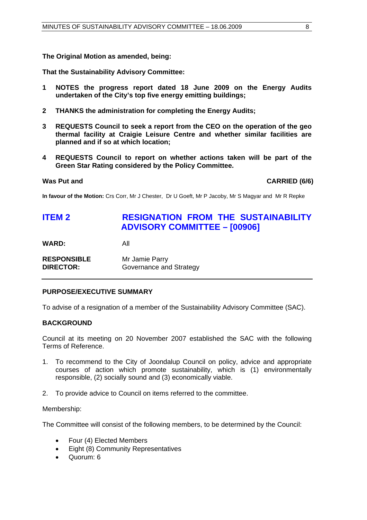**The Original Motion as amended, being:** 

**That the Sustainability Advisory Committee:** 

- **1 NOTES the progress report dated 18 June 2009 on the Energy Audits undertaken of the City's top five energy emitting buildings;**
- **2 THANKS the administration for completing the Energy Audits;**
- **3 REQUESTS Council to seek a report from the CEO on the operation of the geo thermal facility at Craigie Leisure Centre and whether similar facilities are planned and if so at which location;**
- **4 REQUESTS Council to report on whether actions taken will be part of the Green Star Rating considered by the Policy Committee.**

Was Put and **CARRIED** (6/6)

**In favour of the Motion:** Crs Corr, Mr J Chester, Dr U Goeft, Mr P Jacoby, Mr S Magyar and Mr R Repke

# **ITEM 2 RESIGNATION FROM THE SUSTAINABILITY ADVISORY COMMITTEE – [00906]**

**WARD:** All

| <b>RESPONSIBLE</b> | Mr Jamie Parry          |
|--------------------|-------------------------|
| <b>DIRECTOR:</b>   | Governance and Strategy |

### **PURPOSE/EXECUTIVE SUMMARY**

To advise of a resignation of a member of the Sustainability Advisory Committee (SAC).

### **BACKGROUND**

Council at its meeting on 20 November 2007 established the SAC with the following Terms of Reference.

- 1. To recommend to the City of Joondalup Council on policy, advice and appropriate courses of action which promote sustainability, which is (1) environmentally responsible, (2) socially sound and (3) economically viable.
- 2. To provide advice to Council on items referred to the committee.

#### Membership:

The Committee will consist of the following members, to be determined by the Council:

- Four (4) Elected Members
- Eight (8) Community Representatives
- Quorum: 6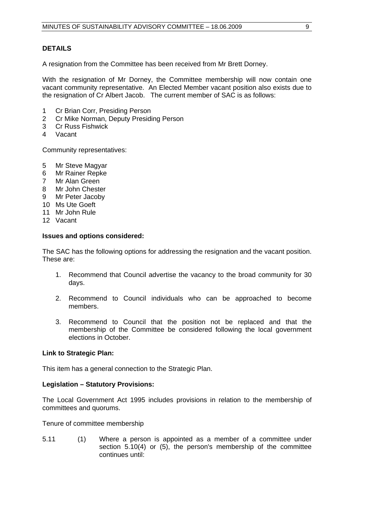#### **DETAILS**

A resignation from the Committee has been received from Mr Brett Dorney.

With the resignation of Mr Dorney, the Committee membership will now contain one vacant community representative. An Elected Member vacant position also exists due to the resignation of Cr Albert Jacob. The current member of SAC is as follows:

- 1 Cr Brian Corr, Presiding Person
- 2 Cr Mike Norman, Deputy Presiding Person
- 3 Cr Russ Fishwick
- 4 Vacant

Community representatives:

- 5 Mr Steve Magyar
- 6 Mr Rainer Repke
- 7 Mr Alan Green
- 8 Mr John Chester
- 9 Mr Peter Jacoby
- 10 Ms Ute Goeft
- 11 Mr John Rule
- 12 Vacant

#### **Issues and options considered:**

The SAC has the following options for addressing the resignation and the vacant position. These are:

- 1. Recommend that Council advertise the vacancy to the broad community for 30 days.
- 2. Recommend to Council individuals who can be approached to become members.
- 3. Recommend to Council that the position not be replaced and that the membership of the Committee be considered following the local government elections in October.

#### **Link to Strategic Plan:**

This item has a general connection to the Strategic Plan.

#### **Legislation – Statutory Provisions:**

The Local Government Act 1995 includes provisions in relation to the membership of committees and quorums.

Tenure of committee membership

5.11 (1) Where a person is appointed as a member of a committee under section 5.10(4) or (5), the person's membership of the committee continues until: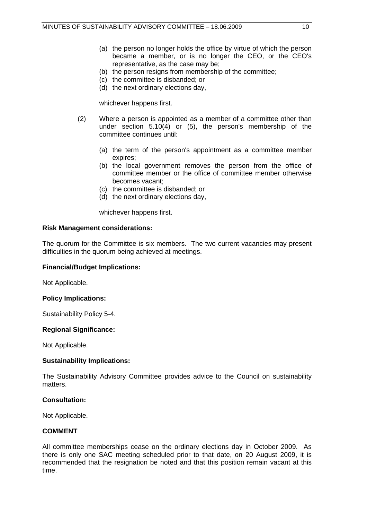- (a) the person no longer holds the office by virtue of which the person became a member, or is no longer the CEO, or the CEO's representative, as the case may be;
- (b) the person resigns from membership of the committee;
- (c) the committee is disbanded; or
- (d) the next ordinary elections day,

whichever happens first.

- (2) Where a person is appointed as a member of a committee other than under section 5.10(4) or (5), the person's membership of the committee continues until:
	- (a) the term of the person's appointment as a committee member expires;
	- (b) the local government removes the person from the office of committee member or the office of committee member otherwise becomes vacant;
	- (c) the committee is disbanded; or
	- (d) the next ordinary elections day,

whichever happens first.

#### **Risk Management considerations:**

The quorum for the Committee is six members. The two current vacancies may present difficulties in the quorum being achieved at meetings.

#### **Financial/Budget Implications:**

Not Applicable.

#### **Policy Implications:**

Sustainability Policy 5-4.

#### **Regional Significance:**

Not Applicable.

#### **Sustainability Implications:**

The Sustainability Advisory Committee provides advice to the Council on sustainability matters.

#### **Consultation:**

Not Applicable.

#### **COMMENT**

All committee memberships cease on the ordinary elections day in October 2009. As there is only one SAC meeting scheduled prior to that date, on 20 August 2009, it is recommended that the resignation be noted and that this position remain vacant at this time.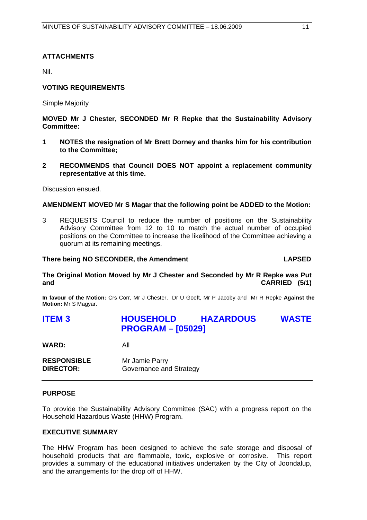### **ATTACHMENTS**

Nil.

#### **VOTING REQUIREMENTS**

Simple Majority

**MOVED Mr J Chester, SECONDED Mr R Repke that the Sustainability Advisory Committee:** 

- **1 NOTES the resignation of Mr Brett Dorney and thanks him for his contribution to the Committee;**
- **2 RECOMMENDS that Council DOES NOT appoint a replacement community representative at this time.**

Discussion ensued.

#### **AMENDMENT MOVED Mr S Magar that the following point be ADDED to the Motion:**

3 REQUESTS Council to reduce the number of positions on the Sustainability Advisory Committee from 12 to 10 to match the actual number of occupied positions on the Committee to increase the likelihood of the Committee achieving a quorum at its remaining meetings.

#### **There being NO SECONDER, the Amendment CONDER 10 CONDER 10 CAPSED**

**The Original Motion Moved by Mr J Chester and Seconded by Mr R Repke was Put and CARRIED (5/1)**

**In favour of the Motion:** Crs Corr, Mr J Chester, Dr U Goeft, Mr P Jacoby and Mr R Repke **Against the Motion:** Mr S Magyar.

## **ITEM 3 HOUSEHOLD HAZARDOUS WASTE PROGRAM – [05029]**

**WARD:** All

| <b>RESPONSIBLE</b> | Mr Jamie Parry          |
|--------------------|-------------------------|
| <b>DIRECTOR:</b>   | Governance and Strategy |

#### **PURPOSE**

To provide the Sustainability Advisory Committee (SAC) with a progress report on the Household Hazardous Waste (HHW) Program.

#### **EXECUTIVE SUMMARY**

The HHW Program has been designed to achieve the safe storage and disposal of household products that are flammable, toxic, explosive or corrosive. This report provides a summary of the educational initiatives undertaken by the City of Joondalup, and the arrangements for the drop off of HHW.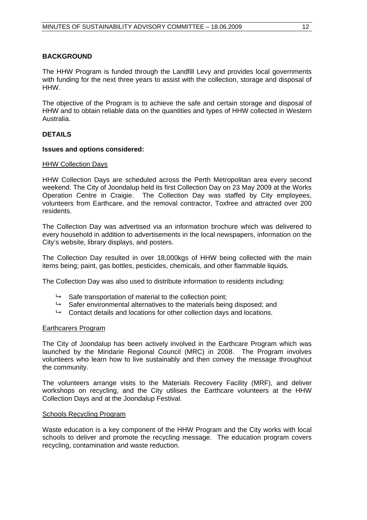### **BACKGROUND**

The HHW Program is funded through the Landfill Levy and provides local governments with funding for the next three years to assist with the collection, storage and disposal of HHW.

The objective of the Program is to achieve the safe and certain storage and disposal of HHW and to obtain reliable data on the quantities and types of HHW collected in Western Australia.

### **DETAILS**

#### **Issues and options considered:**

#### HHW Collection Days

HHW Collection Days are scheduled across the Perth Metropolitan area every second weekend. The City of Joondalup held its first Collection Day on 23 May 2009 at the Works Operation Centre in Craigie. The Collection Day was staffed by City employees, volunteers from Earthcare, and the removal contractor, Toxfree and attracted over 200 residents.

The Collection Day was advertised via an information brochure which was delivered to every household in addition to advertisements in the local newspapers, information on the City's website, library displays, and posters.

The Collection Day resulted in over 18,000kgs of HHW being collected with the main items being; paint, gas bottles, pesticides, chemicals, and other flammable liquids.

The Collection Day was also used to distribute information to residents including:

- $\rightarrow$  Safe transportation of material to the collection point;
- $\rightarrow$  Safer environmental alternatives to the materials being disposed; and
- $\rightarrow$  Contact details and locations for other collection days and locations.

#### Earthcarers Program

The City of Joondalup has been actively involved in the Earthcare Program which was launched by the Mindarie Regional Council (MRC) in 2008. The Program involves volunteers who learn how to live sustainably and then convey the message throughout the community.

The volunteers arrange visits to the Materials Recovery Facility (MRF), and deliver workshops on recycling, and the City utilises the Earthcare volunteers at the HHW Collection Days and at the Joondalup Festival.

#### Schools Recycling Program

Waste education is a key component of the HHW Program and the City works with local schools to deliver and promote the recycling message. The education program covers recycling, contamination and waste reduction.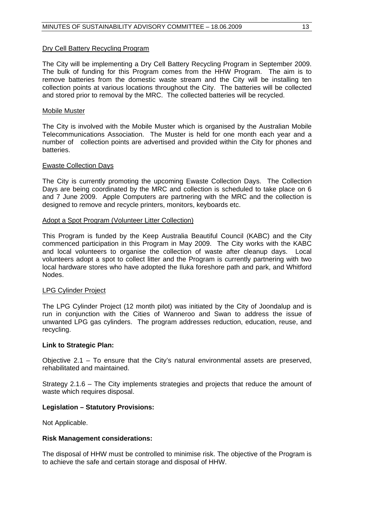#### Dry Cell Battery Recycling Program

The City will be implementing a Dry Cell Battery Recycling Program in September 2009. The bulk of funding for this Program comes from the HHW Program. The aim is to remove batteries from the domestic waste stream and the City will be installing ten collection points at various locations throughout the City. The batteries will be collected and stored prior to removal by the MRC. The collected batteries will be recycled.

#### Mobile Muster

The City is involved with the Mobile Muster which is organised by the Australian Mobile Telecommunications Association. The Muster is held for one month each year and a number of collection points are advertised and provided within the City for phones and batteries.

#### Ewaste Collection Days

The City is currently promoting the upcoming Ewaste Collection Days. The Collection Days are being coordinated by the MRC and collection is scheduled to take place on 6 and 7 June 2009. Apple Computers are partnering with the MRC and the collection is designed to remove and recycle printers, monitors, keyboards etc.

#### Adopt a Spot Program (Volunteer Litter Collection)

This Program is funded by the Keep Australia Beautiful Council (KABC) and the City commenced participation in this Program in May 2009. The City works with the KABC and local volunteers to organise the collection of waste after cleanup days. Local volunteers adopt a spot to collect litter and the Program is currently partnering with two local hardware stores who have adopted the Iluka foreshore path and park, and Whitford Nodes.

#### LPG Cylinder Project

The LPG Cylinder Project (12 month pilot) was initiated by the City of Joondalup and is run in conjunction with the Cities of Wanneroo and Swan to address the issue of unwanted LPG gas cylinders. The program addresses reduction, education, reuse, and recycling.

#### **Link to Strategic Plan:**

Objective 2.1 – To ensure that the City's natural environmental assets are preserved, rehabilitated and maintained.

Strategy 2.1.6 – The City implements strategies and projects that reduce the amount of waste which requires disposal.

#### **Legislation – Statutory Provisions:**

Not Applicable.

#### **Risk Management considerations:**

The disposal of HHW must be controlled to minimise risk. The objective of the Program is to achieve the safe and certain storage and disposal of HHW.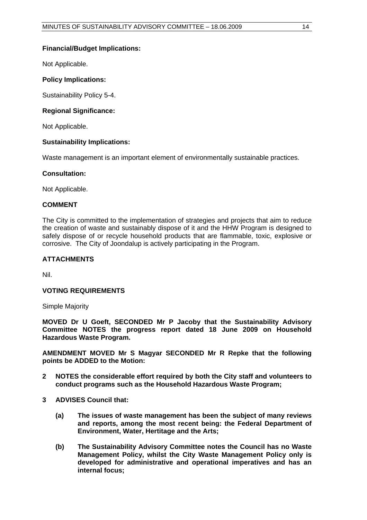Not Applicable.

### **Policy Implications:**

Sustainability Policy 5-4.

#### **Regional Significance:**

Not Applicable.

#### **Sustainability Implications:**

Waste management is an important element of environmentally sustainable practices.

#### **Consultation:**

Not Applicable.

#### **COMMENT**

The City is committed to the implementation of strategies and projects that aim to reduce the creation of waste and sustainably dispose of it and the HHW Program is designed to safely dispose of or recycle household products that are flammable, toxic, explosive or corrosive. The City of Joondalup is actively participating in the Program.

#### **ATTACHMENTS**

Nil.

### **VOTING REQUIREMENTS**

Simple Majority

**MOVED Dr U Goeft, SECONDED Mr P Jacoby that the Sustainability Advisory Committee NOTES the progress report dated 18 June 2009 on Household Hazardous Waste Program.** 

**AMENDMENT MOVED Mr S Magyar SECONDED Mr R Repke that the following points be ADDED to the Motion:** 

- **2 NOTES the considerable effort required by both the City staff and volunteers to conduct programs such as the Household Hazardous Waste Program;**
- **3 ADVISES Council that:** 
	- **(a) The issues of waste management has been the subject of many reviews and reports, among the most recent being: the Federal Department of Environment, Water, Hertitage and the Arts;**
	- **(b) The Sustainability Advisory Committee notes the Council has no Waste Management Policy, whilst the City Waste Management Policy only is developed for administrative and operational imperatives and has an internal focus;**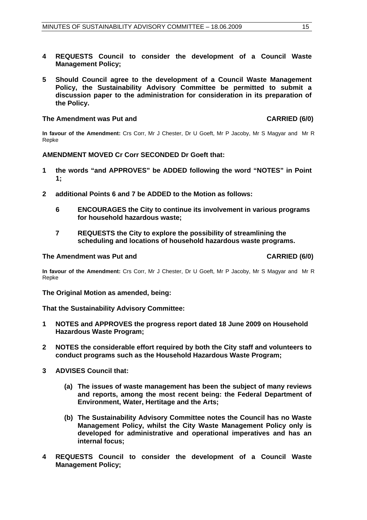- **4 REQUESTS Council to consider the development of a Council Waste Management Policy;**
- **5 Should Council agree to the development of a Council Waste Management Policy, the Sustainability Advisory Committee be permitted to submit a discussion paper to the administration for consideration in its preparation of the Policy.**

#### The Amendment was Put and **CARRIED (6/0)**

**In favour of the Amendment:** Crs Corr, Mr J Chester, Dr U Goeft, Mr P Jacoby, Mr S Magyar and Mr R Repke

#### **AMENDMENT MOVED Cr Corr SECONDED Dr Goeft that:**

- **1 the words "and APPROVES" be ADDED following the word "NOTES" in Point 1;**
- **2 additional Points 6 and 7 be ADDED to the Motion as follows:** 
	- **6 ENCOURAGES the City to continue its involvement in various programs for household hazardous waste;**
	- **7 REQUESTS the City to explore the possibility of streamlining the scheduling and locations of household hazardous waste programs.**

#### The Amendment was Put and **CARRIED (6/0) CARRIED** (6/0)

**In favour of the Amendment:** Crs Corr, Mr J Chester, Dr U Goeft, Mr P Jacoby, Mr S Magyar and Mr R Repke

**The Original Motion as amended, being:** 

#### **That the Sustainability Advisory Committee:**

- **1 NOTES and APPROVES the progress report dated 18 June 2009 on Household Hazardous Waste Program;**
- **2 NOTES the considerable effort required by both the City staff and volunteers to conduct programs such as the Household Hazardous Waste Program;**
- **3 ADVISES Council that:** 
	- **(a) The issues of waste management has been the subject of many reviews and reports, among the most recent being: the Federal Department of Environment, Water, Hertitage and the Arts;**
	- **(b) The Sustainability Advisory Committee notes the Council has no Waste Management Policy, whilst the City Waste Management Policy only is developed for administrative and operational imperatives and has an internal focus;**
- **4 REQUESTS Council to consider the development of a Council Waste Management Policy;**